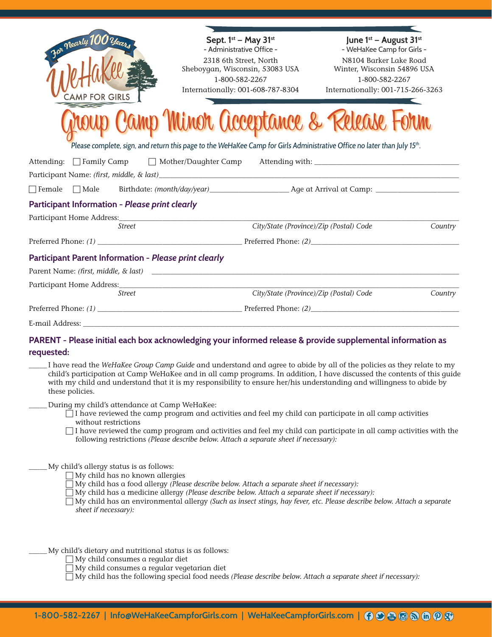| For Nearly 100 years<br><b>AMP FOR GIRLS</b>                                                                                                                                                                                                                                                                                                                                                   | Sept. 1st - May 31st<br>- Administrative Office -<br>2318 6th Street, North<br>Sheboygan, Wisconsin, 53083 USA<br>1-800-582-2267<br>Internationally: 001-608-787-8304                        | June 1 <sup>st</sup> – August 31 <sup>st</sup><br>- WeHaKee Camp for Girls -<br>N8104 Barker Lake Road<br>Winter, Wisconsin 54896 USA<br>1-800-582-2267<br>Internationally: 001-715-266-3263<br>Camp Minor Acceptance & Release Form |         |
|------------------------------------------------------------------------------------------------------------------------------------------------------------------------------------------------------------------------------------------------------------------------------------------------------------------------------------------------------------------------------------------------|----------------------------------------------------------------------------------------------------------------------------------------------------------------------------------------------|--------------------------------------------------------------------------------------------------------------------------------------------------------------------------------------------------------------------------------------|---------|
|                                                                                                                                                                                                                                                                                                                                                                                                | Please complete, sign, and return this page to the WeHaKee Camp for Girls Administrative Office no later than July 15 <sup>th</sup> .                                                        |                                                                                                                                                                                                                                      |         |
| Attending: Family Camp Mother/Daughter Camp Attending with: _____________________                                                                                                                                                                                                                                                                                                              |                                                                                                                                                                                              |                                                                                                                                                                                                                                      |         |
|                                                                                                                                                                                                                                                                                                                                                                                                |                                                                                                                                                                                              |                                                                                                                                                                                                                                      |         |
| □ Female □ Male Birthdate: (month/day/year) Age at Arrival at Camp:                                                                                                                                                                                                                                                                                                                            |                                                                                                                                                                                              |                                                                                                                                                                                                                                      |         |
| Participant Information - Please print clearly                                                                                                                                                                                                                                                                                                                                                 |                                                                                                                                                                                              |                                                                                                                                                                                                                                      |         |
|                                                                                                                                                                                                                                                                                                                                                                                                |                                                                                                                                                                                              |                                                                                                                                                                                                                                      |         |
| Street                                                                                                                                                                                                                                                                                                                                                                                         |                                                                                                                                                                                              | City/State (Province)/Zip (Postal) Code                                                                                                                                                                                              | Country |
|                                                                                                                                                                                                                                                                                                                                                                                                |                                                                                                                                                                                              |                                                                                                                                                                                                                                      |         |
| <b>Participant Parent Information - Please print clearly</b>                                                                                                                                                                                                                                                                                                                                   |                                                                                                                                                                                              |                                                                                                                                                                                                                                      |         |
|                                                                                                                                                                                                                                                                                                                                                                                                |                                                                                                                                                                                              |                                                                                                                                                                                                                                      |         |
|                                                                                                                                                                                                                                                                                                                                                                                                |                                                                                                                                                                                              |                                                                                                                                                                                                                                      |         |
| <i>Street</i>                                                                                                                                                                                                                                                                                                                                                                                  |                                                                                                                                                                                              | City/State (Province)/Zip (Postal) Code                                                                                                                                                                                              | Country |
|                                                                                                                                                                                                                                                                                                                                                                                                |                                                                                                                                                                                              |                                                                                                                                                                                                                                      |         |
|                                                                                                                                                                                                                                                                                                                                                                                                |                                                                                                                                                                                              |                                                                                                                                                                                                                                      |         |
| PARENT - Please initial each box acknowledging your informed release & provide supplemental information as<br>requested:                                                                                                                                                                                                                                                                       |                                                                                                                                                                                              |                                                                                                                                                                                                                                      |         |
| I have read the WeHaKee Group Camp Guide and understand and agree to abide by all of the policies as they relate to my<br>child's participation at Camp WeHaKee and in all camp programs. In addition, I have discussed the contents of this guide<br>with my child and understand that it is my responsibility to ensure her/his understanding and willingness to abide by<br>these policies. |                                                                                                                                                                                              |                                                                                                                                                                                                                                      |         |
| During my child's attendance at Camp WeHaKee:<br>$\Box$ I have reviewed the camp program and activities and feel my child can participate in all camp activities<br>without restrictions                                                                                                                                                                                                       | following restrictions (Please describe below. Attach a separate sheet if necessary):                                                                                                        | I have reviewed the camp program and activities and feel my child can participate in all camp activities with the                                                                                                                    |         |
| My child's allergy status is as follows:<br>My child has no known allergies<br>sheet if necessary):                                                                                                                                                                                                                                                                                            | My child has a food allergy (Please describe below. Attach a separate sheet if necessary):<br>My child has a medicine allergy (Please describe below. Attach a separate sheet if necessary): | My child has an environmental allergy (Such as insect stings, hay fever, etc. Please describe below. Attach a separate                                                                                                               |         |
| My child's dietary and nutritional status is as follows:<br>My child consumes a regular diet<br>My child consumes a regular vegetarian diet                                                                                                                                                                                                                                                    | $\exists$ My child has the following special food needs (Please describe below. Attach a separate sheet if necessary):                                                                       |                                                                                                                                                                                                                                      |         |